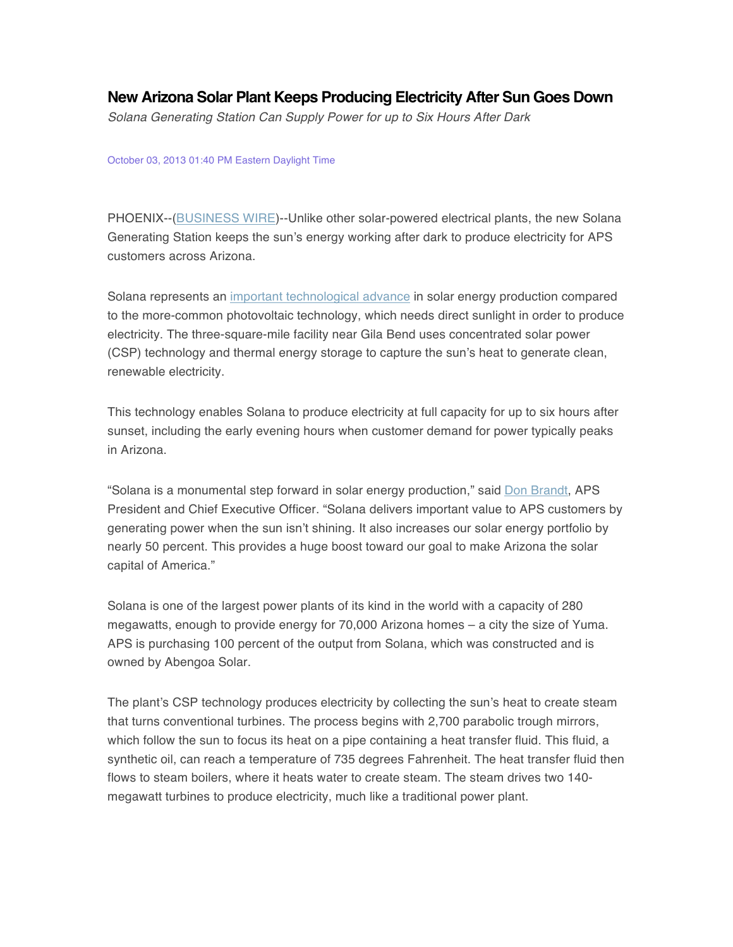## **New Arizona Solar Plant Keeps Producing Electricity After Sun Goes Down**

*Solana Generating Station Can Supply Power for up to Six Hours After Dark*

## October 03, 2013 01:40 PM Eastern Daylight Time

PHOENIX--(BUSINESS WIRE)--Unlike other solar-powered electrical plants, the new Solana Generating Station keeps the sun's energy working after dark to produce electricity for APS customers across Arizona.

Solana represents an important technological advance in solar energy production compared to the more-common photovoltaic technology, which needs direct sunlight in order to produce electricity. The three-square-mile facility near Gila Bend uses concentrated solar power (CSP) technology and thermal energy storage to capture the sun's heat to generate clean, renewable electricity.

This technology enables Solana to produce electricity at full capacity for up to six hours after sunset, including the early evening hours when customer demand for power typically peaks in Arizona.

"Solana is a monumental step forward in solar energy production," said Don Brandt, APS President and Chief Executive Officer. "Solana delivers important value to APS customers by generating power when the sun isn't shining. It also increases our solar energy portfolio by nearly 50 percent. This provides a huge boost toward our goal to make Arizona the solar capital of America."

Solana is one of the largest power plants of its kind in the world with a capacity of 280 megawatts, enough to provide energy for 70,000 Arizona homes – a city the size of Yuma. APS is purchasing 100 percent of the output from Solana, which was constructed and is owned by Abengoa Solar.

The plant's CSP technology produces electricity by collecting the sun's heat to create steam that turns conventional turbines. The process begins with 2,700 parabolic trough mirrors, which follow the sun to focus its heat on a pipe containing a heat transfer fluid. This fluid, a synthetic oil, can reach a temperature of 735 degrees Fahrenheit. The heat transfer fluid then flows to steam boilers, where it heats water to create steam. The steam drives two 140 megawatt turbines to produce electricity, much like a traditional power plant.